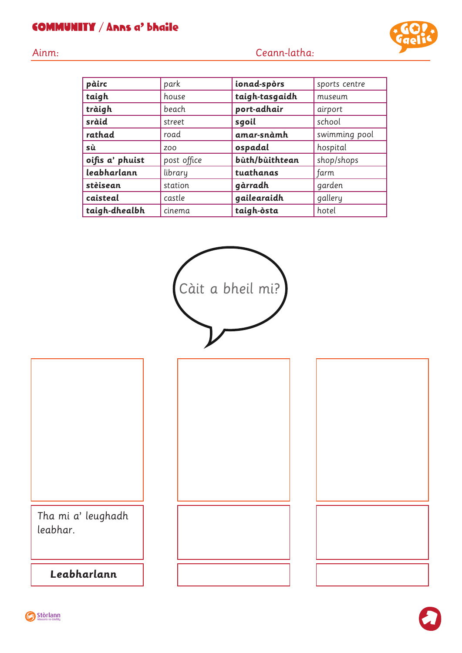## COMMUNITY / Anns a' bhaile

| Ainm: |  |  | Ceann-latha: |
|-------|--|--|--------------|
|       |  |  |              |
|       |  |  |              |

| pàirc           | park            | ionad-spòrs    | sports centre |
|-----------------|-----------------|----------------|---------------|
| taigh           | house           | taigh-tasgaidh | museum        |
| tràigh          | beach           | port-adhair    | airport       |
| sràid           | street          | sgoil          | school        |
| rathad          | road            | amar-snàmh     | swimming pool |
| sù              | ZO <sub>O</sub> | ospadal        | hospital      |
| oifis a' phuist | post office     | bùth/bùithtean | shop/shops    |
| leabharlann     | library         | tuathanas      | farm          |
| stèisean        | station         | gàrradh        | garden        |
| caisteal        | castle          | gailearaidh    | gallery       |
| taigh-dhealbh   | cinema          | taigh-òsta     | hotel         |



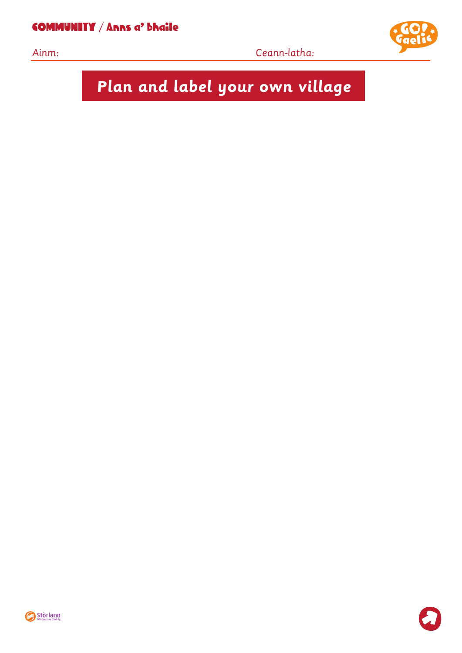COMMUNITY / Anns a' bhaile



Ainm: Ceann-latha:



**Plan and label your own village**



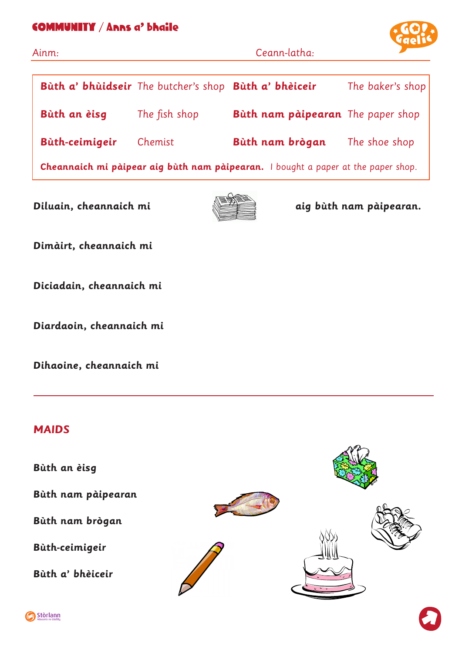## COMMUNITY / Anns a' bhaile



| Ainm:                                                                                    |                                                       | Ceann-latha:                      |                  |  |
|------------------------------------------------------------------------------------------|-------------------------------------------------------|-----------------------------------|------------------|--|
|                                                                                          | Bùth a' bhùidseir The butcher's shop Bùth a' bhèiceir |                                   | The baker's shop |  |
| Bùth an èisg                                                                             | The fish shop                                         | Bùth nam pàipearan The paper shop |                  |  |
| Bùth-ceimigeir                                                                           | Chemist                                               | Bùth nam brògan                   | The shoe shop    |  |
| <b>Cheannaich mi pàipear aig bùth nam pàipearan.</b> I bought a paper at the paper shop. |                                                       |                                   |                  |  |



**Diluain, cheannaich mi aig bùth nam pàipearan.** 

**Dimàirt, cheannaich mi** 

**Diciadain, cheannaich mi** 

**Diardaoin, cheannaich mi** 

**Dihaoine, cheannaich mi** 

## **MAIDS**

**Bùth an èisg**

**Bùth nam pàipearan**

**Bùth nam brògan**

**Bùth-ceimigeir**

**Bùth a' bhèiceir**